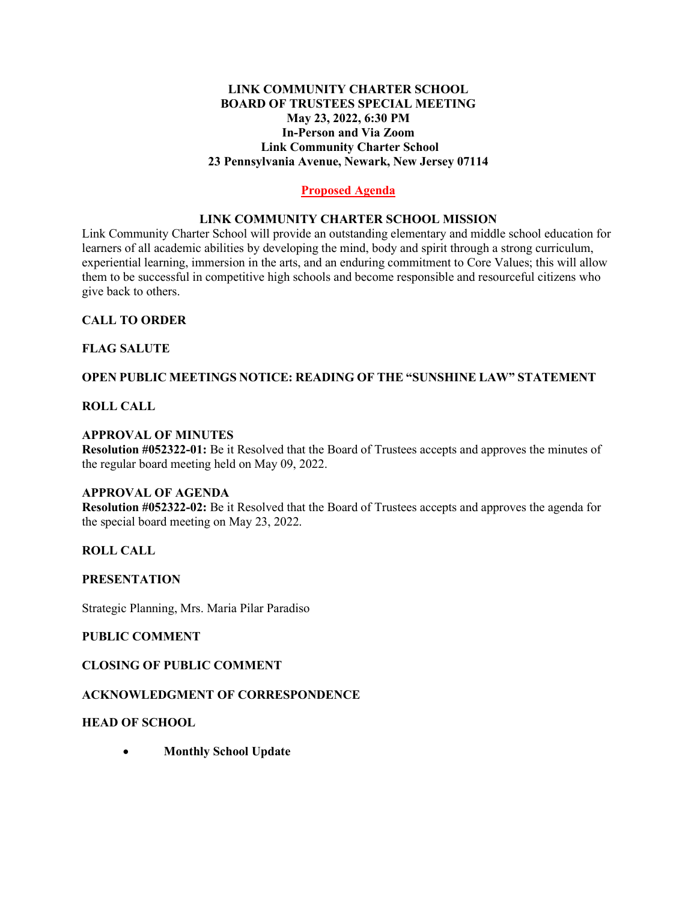## **LINK COMMUNITY CHARTER SCHOOL BOARD OF TRUSTEES SPECIAL MEETING May 23, 2022, 6:30 PM In-Person and Via Zoom Link Community Charter School 23 Pennsylvania Avenue, Newark, New Jersey 07114**

# **Proposed Agenda**

## **LINK COMMUNITY CHARTER SCHOOL MISSION**

Link Community Charter School will provide an outstanding elementary and middle school education for learners of all academic abilities by developing the mind, body and spirit through a strong curriculum, experiential learning, immersion in the arts, and an enduring commitment to Core Values; this will allow them to be successful in competitive high schools and become responsible and resourceful citizens who give back to others.

## **CALL TO ORDER**

## **FLAG SALUTE**

## **OPEN PUBLIC MEETINGS NOTICE: READING OF THE "SUNSHINE LAW" STATEMENT**

## **ROLL CALL**

## **APPROVAL OF MINUTES**

**Resolution #052322-01:** Be it Resolved that the Board of Trustees accepts and approves the minutes of the regular board meeting held on May 09, 2022.

### **APPROVAL OF AGENDA**

**Resolution #052322-02:** Be it Resolved that the Board of Trustees accepts and approves the agenda for the special board meeting on May 23, 2022.

#### **ROLL CALL**

#### **PRESENTATION**

Strategic Planning, Mrs. Maria Pilar Paradiso

### **PUBLIC COMMENT**

## **CLOSING OF PUBLIC COMMENT**

#### **ACKNOWLEDGMENT OF CORRESPONDENCE**

#### **HEAD OF SCHOOL**

• **Monthly School Update**